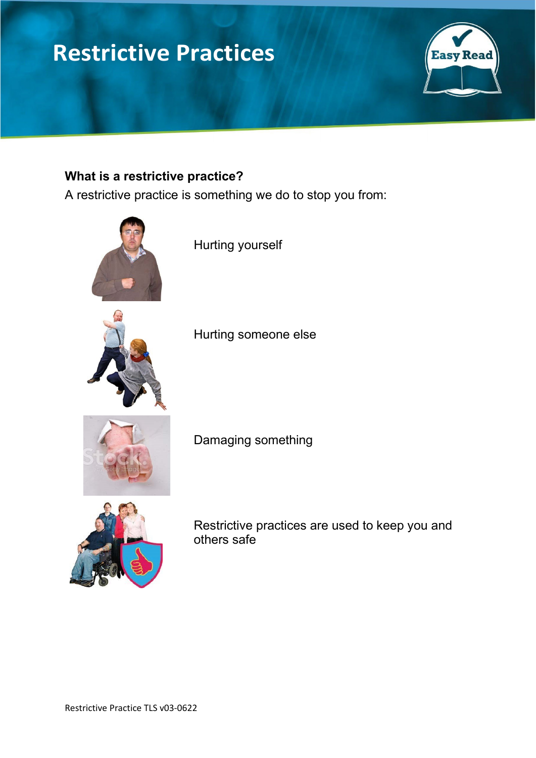# **Restrictive Practices**



# **What is a restrictive practice?**

A restrictive practice is something we do to stop you from:



Hurting yourself

Hurting someone else



Damaging something



Restrictive practices are used to keep you and others safe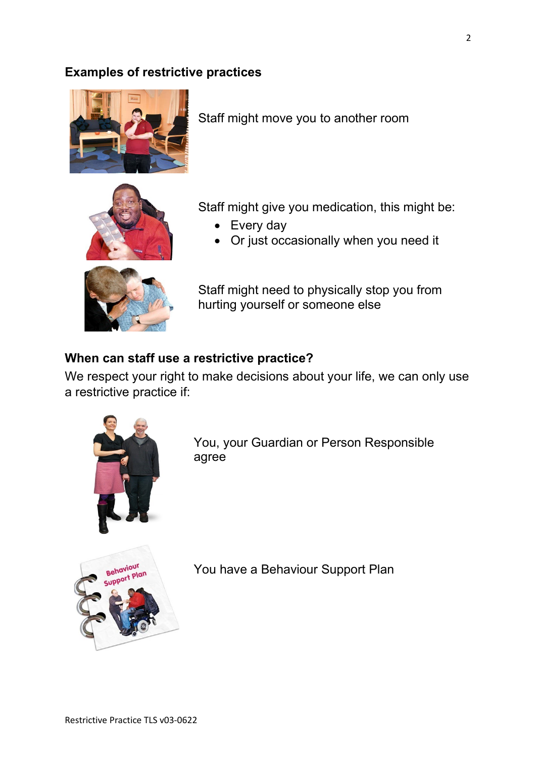### **Examples of restrictive practices**



Staff might move you to another room



Staff might give you medication, this might be:

- Every day
- Or just occasionally when you need it



Staff might need to physically stop you from hurting yourself or someone else

#### **When can staff use a restrictive practice?**

We respect your right to make decisions about your life, we can only use a restrictive practice if:



You, your Guardian or Person Responsible agree



You have a Behaviour Support Plan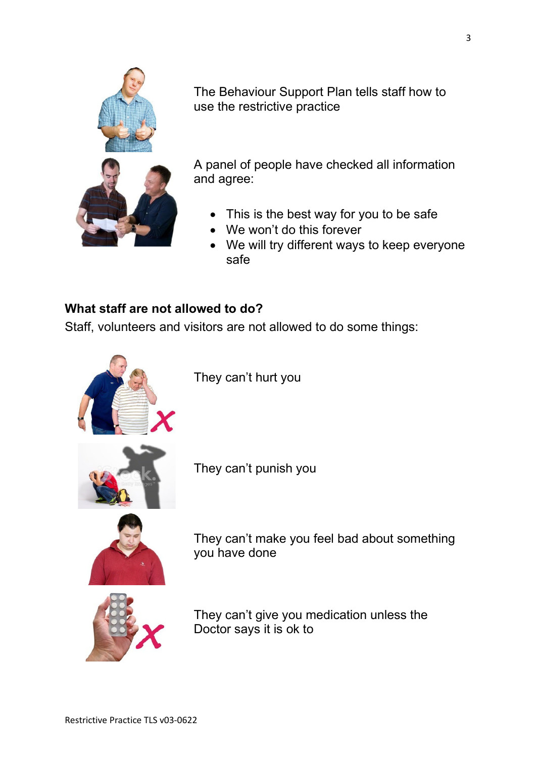

The Behaviour Support Plan tells staff how to use the restrictive practice

A panel of people have checked all information and agree:

- This is the best way for you to be safe
- We won't do this forever
- We will try different ways to keep everyone safe

## **What staff are not allowed to do?**

Staff, volunteers and visitors are not allowed to do some things:



They can't hurt you

They can't punish you



They can't make you feel bad about something you have done



They can't give you medication unless the Doctor says it is ok to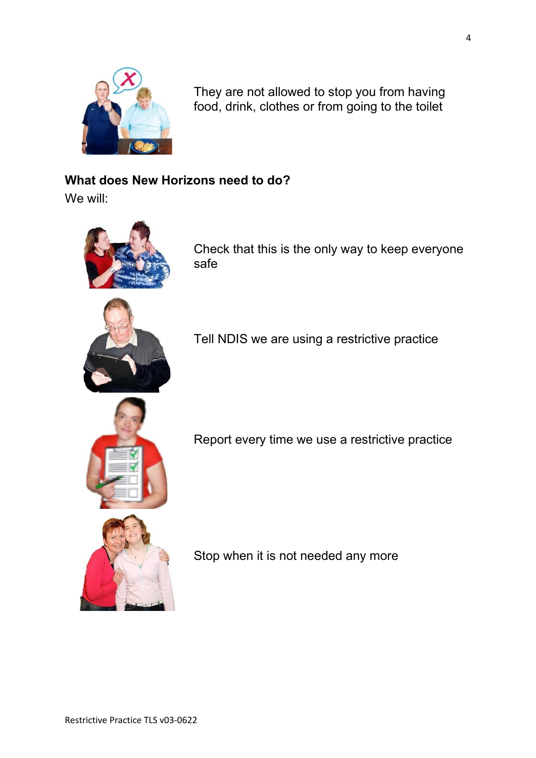

They are not allowed to stop you from having food, drink, clothes or from going to the toilet

# **What does New Horizons need to do?**

We will:



Check that this is the only way to keep everyone safe



Tell NDIS we are using a restrictive practice



Report every time we use a restrictive practice

Stop when it is not needed any more